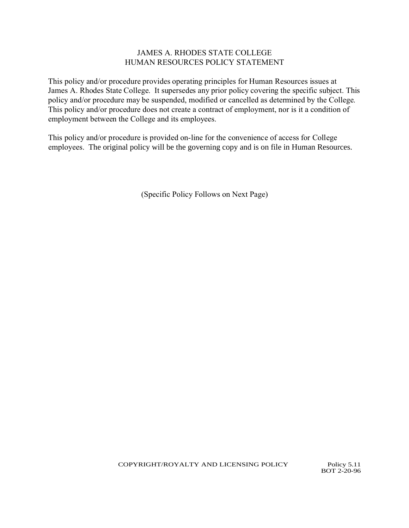## JAMES A. RHODES STATE COLLEGE HUMAN RESOURCES POLICY STATEMENT

This policy and/or procedure provides operating principles for Human Resources issues at James A. Rhodes State College. It supersedes any prior policy covering the specific subject. This policy and/or procedure may be suspended, modified or cancelled as determined by the College. This policy and/or procedure does not create a contract of employment, nor is it a condition of employment between the College and its employees.

This policy and/or procedure is provided on-line for the convenience of access for College employees. The original policy will be the governing copy and is on file in Human Resources.

(Specific Policy Follows on Next Page)